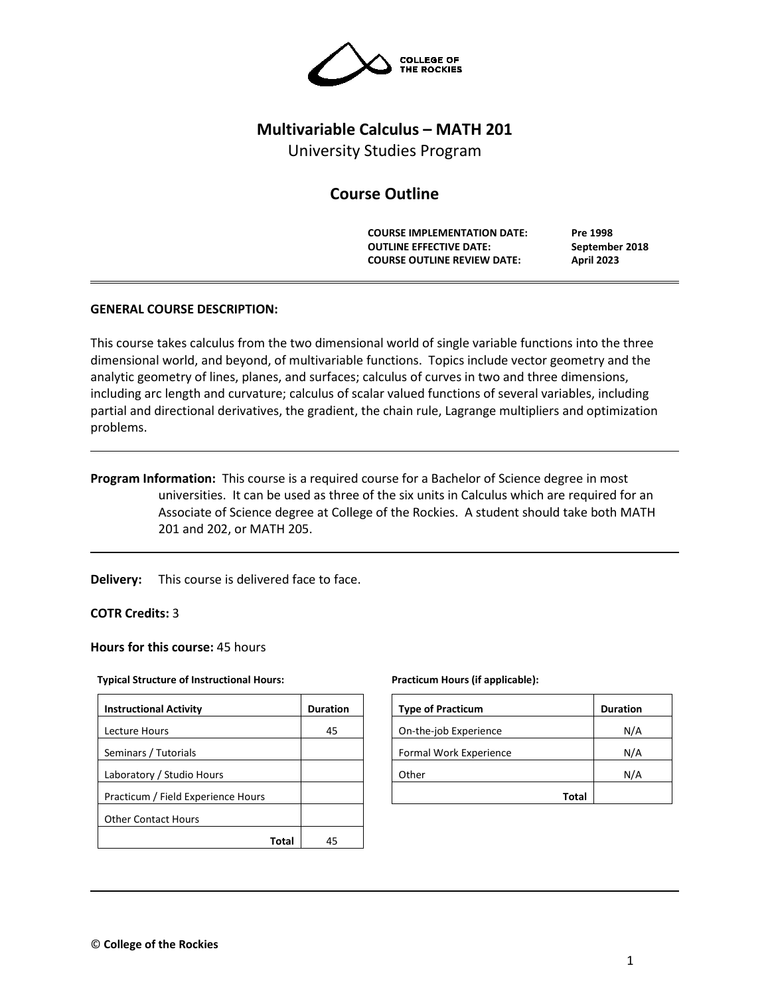

# **Multivariable Calculus – MATH 201**

University Studies Program

# **Course Outline**

**COURSE IMPLEMENTATION DATE: Pre 1998 OUTLINE EFFECTIVE DATE: September 2018 COURSE OUTLINE REVIEW DATE: April 2023**

# **GENERAL COURSE DESCRIPTION:**

This course takes calculus from the two dimensional world of single variable functions into the three dimensional world, and beyond, of multivariable functions. Topics include vector geometry and the analytic geometry of lines, planes, and surfaces; calculus of curves in two and three dimensions, including arc length and curvature; calculus of scalar valued functions of several variables, including partial and directional derivatives, the gradient, the chain rule, Lagrange multipliers and optimization problems.

**Program Information:** This course is a required course for a Bachelor of Science degree in most universities. It can be used as three of the six units in Calculus which are required for an Associate of Science degree at College of the Rockies. A student should take both MATH 201 and 202, or MATH 205.

**Delivery:** This course is delivered face to face.

#### **COTR Credits:** 3

**Hours for this course:** 45 hours

#### **Typical Structure of Instructional Hours:**

| <b>Instructional Activity</b>      | <b>Duration</b> |
|------------------------------------|-----------------|
| Lecture Hours                      | 45              |
| Seminars / Tutorials               |                 |
| Laboratory / Studio Hours          |                 |
| Practicum / Field Experience Hours |                 |
| <b>Other Contact Hours</b>         |                 |
| Total                              | 45              |

#### **Practicum Hours (if applicable):**

| <b>Type of Practicum</b> | <b>Duration</b> |
|--------------------------|-----------------|
| On-the-job Experience    | N/A             |
| Formal Work Experience   | N/A             |
| Other                    | N/A             |
| <b>Total</b>             |                 |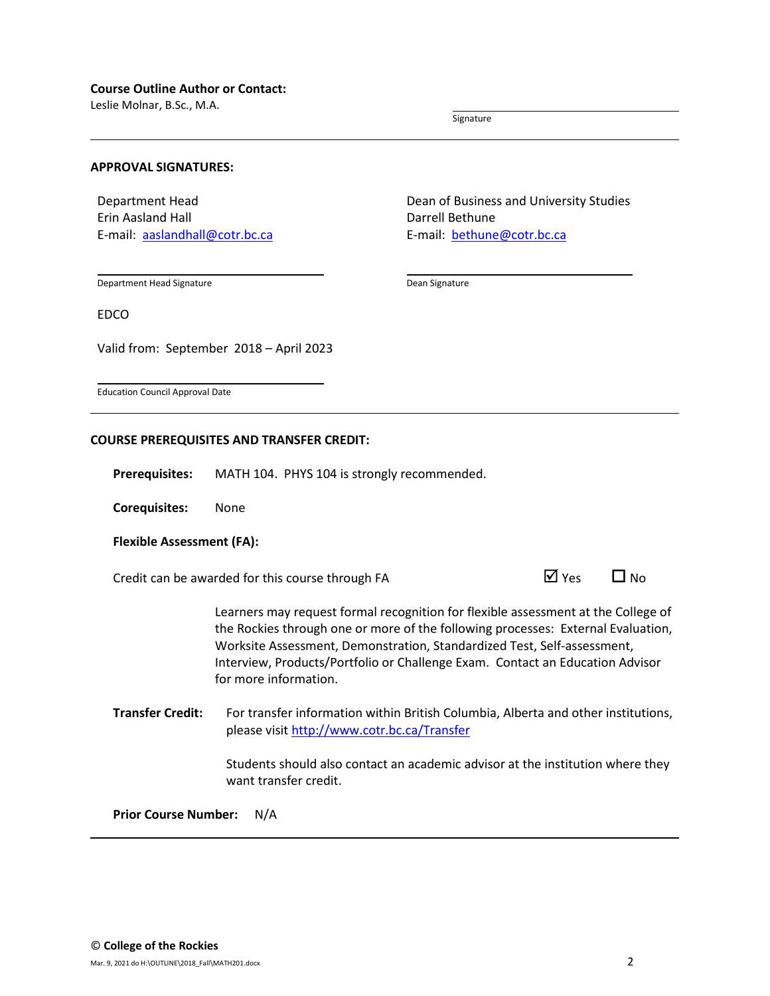Leslie Molnar, B.Sc., M.A.

Signature

#### **APPROVAL SIGNATURES:**

Department Head Erin Aasland Hall E-mail: [aaslandhall@cotr.bc.ca](mailto:aaslandhall@cotr.bc.ca) Dean of Business and University Studies Darrell Bethune E-mail: [bethune@cotr.bc.ca](mailto:bethune@cotr.bc.ca)

Department Head Signature

Dean Signature

EDCO

Valid from: September 2018 – April 2023

Education Council Approval Date

#### **COURSE PREREQUISITES AND TRANSFER CREDIT:**

**Prerequisites:** MATH 104. PHYS 104 is strongly recommended.

**Corequisites:** None

#### **Flexible Assessment (FA):**

Credit can be awarded for this course through FA  $\Box$  Yes  $\Box$  No

Learners may request formal recognition for flexible assessment at the College of the Rockies through one or more of the following processes: External Evaluation, Worksite Assessment, Demonstration, Standardized Test, Self-assessment, Interview, Products/Portfolio or Challenge Exam. Contact an Education Advisor for more information.

**Transfer Credit:** For transfer information within British Columbia, Alberta and other institutions, please visit<http://www.cotr.bc.ca/Transfer>

> Students should also contact an academic advisor at the institution where they want transfer credit.

**Prior Course Number:** N/A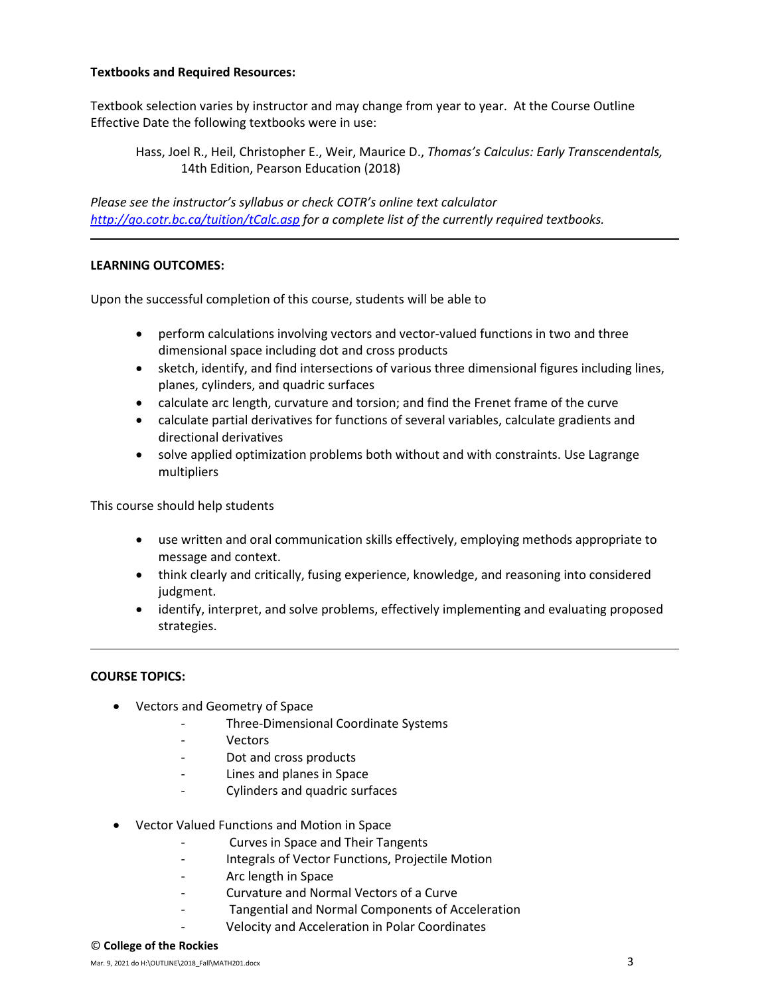## **Textbooks and Required Resources:**

Textbook selection varies by instructor and may change from year to year. At the Course Outline Effective Date the following textbooks were in use:

Hass, Joel R., Heil, Christopher E., Weir, Maurice D., *Thomas's Calculus: Early Transcendentals,*  14th Edition, Pearson Education (2018)

*Please see the instructor's syllabus or check COTR's online text calculator <http://go.cotr.bc.ca/tuition/tCalc.asp> for a complete list of the currently required textbooks.*

## **LEARNING OUTCOMES:**

Upon the successful completion of this course, students will be able to

- perform calculations involving vectors and vector-valued functions in two and three dimensional space including dot and cross products
- sketch, identify, and find intersections of various three dimensional figures including lines, planes, cylinders, and quadric surfaces
- calculate arc length, curvature and torsion; and find the Frenet frame of the curve
- calculate partial derivatives for functions of several variables, calculate gradients and directional derivatives
- solve applied optimization problems both without and with constraints. Use Lagrange multipliers

This course should help students

- use written and oral communication skills effectively, employing methods appropriate to message and context.
- think clearly and critically, fusing experience, knowledge, and reasoning into considered judgment.
- identify, interpret, and solve problems, effectively implementing and evaluating proposed strategies.

#### **COURSE TOPICS:**

- Vectors and Geometry of Space
	- Three-Dimensional Coordinate Systems
	- **Vectors**
	- Dot and cross products
	- Lines and planes in Space
	- Cylinders and quadric surfaces
- Vector Valued Functions and Motion in Space
	- Curves in Space and Their Tangents
	- Integrals of Vector Functions, Projectile Motion
	- Arc length in Space
	- Curvature and Normal Vectors of a Curve
		- Tangential and Normal Components of Acceleration
	- Velocity and Acceleration in Polar Coordinates

#### © **College of the Rockies**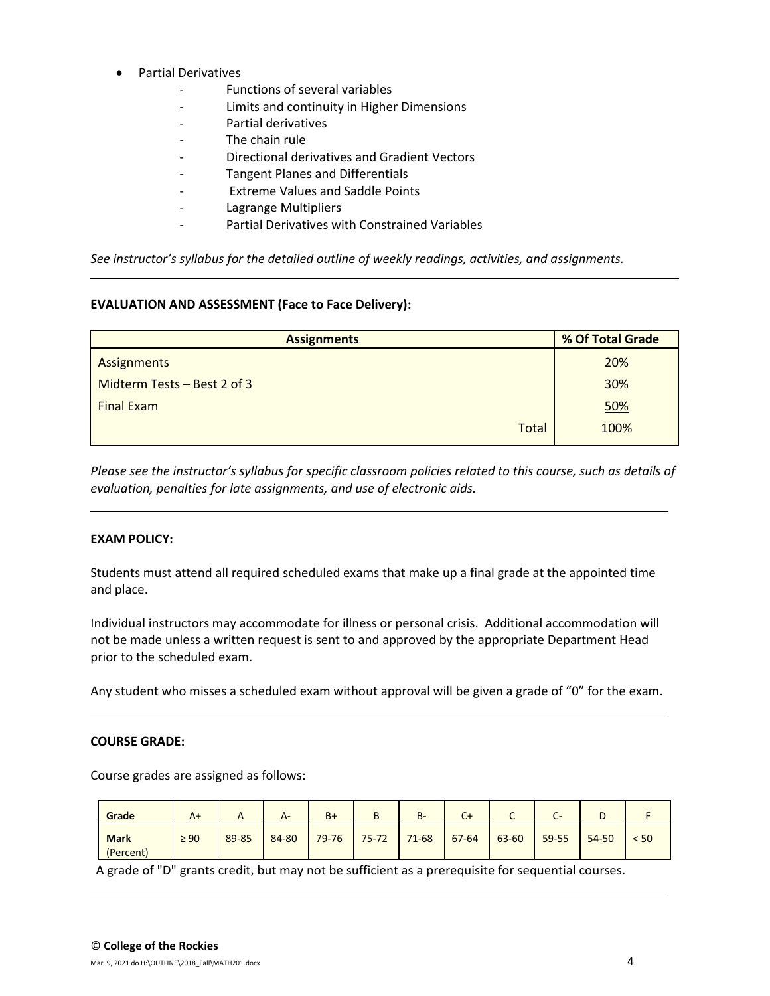- Partial Derivatives
	- Functions of several variables
	- Limits and continuity in Higher Dimensions
	- Partial derivatives
	- The chain rule
	- Directional derivatives and Gradient Vectors
	- Tangent Planes and Differentials
	- Extreme Values and Saddle Points
	- Lagrange Multipliers
	- Partial Derivatives with Constrained Variables

*See instructor's syllabus for the detailed outline of weekly readings, activities, and assignments.* 

## **EVALUATION AND ASSESSMENT (Face to Face Delivery):**

| <b>Assignments</b>          | % Of Total Grade |  |  |
|-----------------------------|------------------|--|--|
| Assignments                 | 20%              |  |  |
| Midterm Tests - Best 2 of 3 | 30%              |  |  |
| <b>Final Exam</b>           | <u>50%</u>       |  |  |
| Total                       | 100%             |  |  |

*Please see the instructor's syllabus for specific classroom policies related to this course, such as details of evaluation, penalties for late assignments, and use of electronic aids.*

## **EXAM POLICY:**

Students must attend all required scheduled exams that make up a final grade at the appointed time and place.

Individual instructors may accommodate for illness or personal crisis. Additional accommodation will not be made unless a written request is sent to and approved by the appropriate Department Head prior to the scheduled exam.

Any student who misses a scheduled exam without approval will be given a grade of "0" for the exam.

## **COURSE GRADE:**

Course grades are assigned as follows:

| Grade                    | $A+$      |       | A-    | $B+$      | п<br>D    | <b>B-</b> | C+        | ֊     | CT.   | ◡     |      |
|--------------------------|-----------|-------|-------|-----------|-----------|-----------|-----------|-------|-------|-------|------|
| <b>Mark</b><br>(Percent) | $\geq 90$ | 89-85 | 84-80 | $79 - 76$ | $75 - 72$ | $71 - 68$ | $67 - 64$ | 63-60 | 59-55 | 54-50 | < 50 |

A grade of "D" grants credit, but may not be sufficient as a prerequisite for sequential courses.